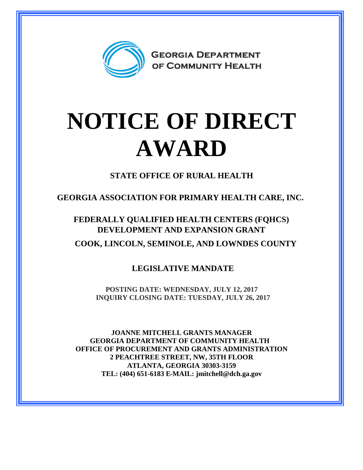

## **NOTICE OF DIRECT AWARD**

**STATE OFFICE OF RURAL HEALTH**

**GEORGIA ASSOCIATION FOR PRIMARY HEALTH CARE, INC.**

**FEDERALLY QUALIFIED HEALTH CENTERS (FQHCS) DEVELOPMENT AND EXPANSION GRANT COOK, LINCOLN, SEMINOLE, AND LOWNDES COUNTY**

**LEGISLATIVE MANDATE**

**POSTING DATE: WEDNESDAY, JULY 12, 2017 INQUIRY CLOSING DATE: TUESDAY, JULY 26, 2017**

**JOANNE MITCHELL GRANTS MANAGER GEORGIA DEPARTMENT OF COMMUNITY HEALTH OFFICE OF PROCUREMENT AND GRANTS ADMINISTRATION 2 PEACHTREE STREET, NW, 35TH FLOOR ATLANTA, GEORGIA 30303-3159 TEL: (404) 651-6183 E-MAIL: jmitchell@dch.ga.gov**